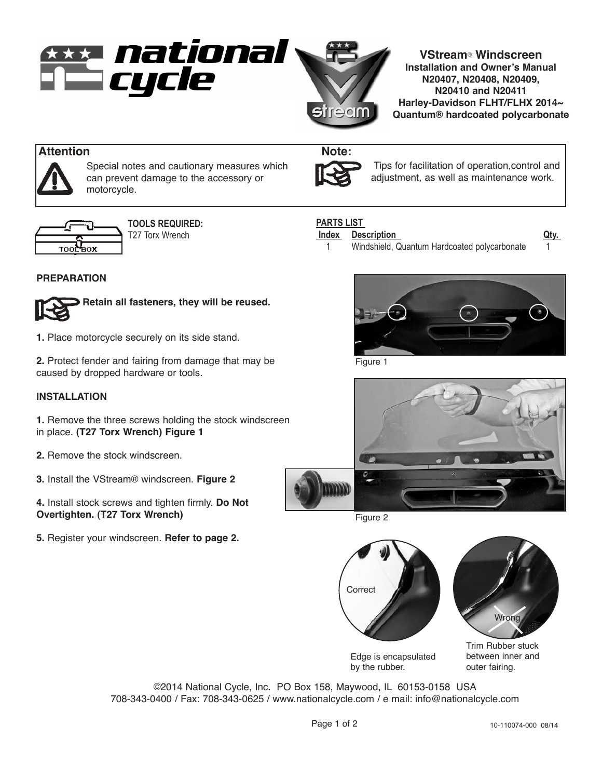

**VStream**® **Windscreen Installation and Owner's Manual N20407, N20408, N20409, N20410 and N20411 Harley-Davidson FLHT/FLHX 2014~ Quantum® hardcoated polycarbonate**

# **Attention Note:**



Special notes and cautionary measures which can prevent damage to the accessory or motorcycle.



**TOOLS REQUIRED:** T27 Torx Wrench

# **PREPARATION**



**Retain all fasteners, they will be reused.**

**1.** Place motorcycle securely on its side stand.

**2.** Protect fender and fairing from damage that may be caused by dropped hardware or tools.

## **INSTALLATION**

**1.** Remove the three screws holding the stock windscreen in place. **(T27 Torx Wrench) Figure 1**

- **2.** Remove the stock windscreen.
- **3.** Install the VStream® windscreen. **Figure 2**

**4.** Install stock screws and tighten firmly. **Do Not Overtighten. (T27 Torx Wrench)**

**5.** Register your windscreen. **Refer to page 2.** 



Tips for facilitation of operation,control and adjustment, as well as maintenance work.

# **PARTS LIST**

### **Index Description Qty.**

1 Windshield, Quantum Hardcoated polycarbonate 1



Figure 1







Edge is encapsulated by the rubber.

©2014 National Cycle, Inc. PO Box 158, Maywood, IL 60153-0158 USA 708-343-0400 / Fax: 708-343-0625 / www.nationalcycle.com / e mail: info@nationalcycle.com

between inner and outer fairing.